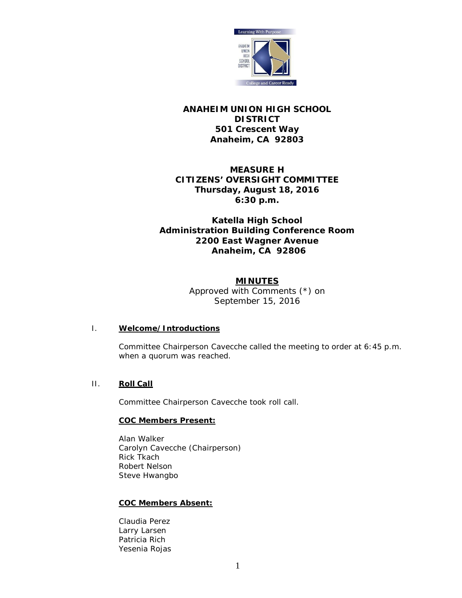

# **ANAHEIM UNION HIGH SCHOOL DISTRICT 501 Crescent Way Anaheim, CA 92803**

# **MEASURE H CITIZENS' OVERSIGHT COMMITTEE Thursday, August 18, 2016 6:30 p.m.**

# **Katella High School Administration Building Conference Room 2200 East Wagner Avenue Anaheim, CA 92806**

## **MINUTES**

*Approved with Comments (\*) on September 15, 2016*

## I. **Welcome/Introductions**

Committee Chairperson Cavecche called the meeting to order at 6:45 p.m. when a quorum was reached.

# II. **Roll Call**

Committee Chairperson Cavecche took roll call.

## **COC Members Present:**

Alan Walker Carolyn Cavecche (Chairperson) Rick Tkach Robert Nelson Steve Hwangbo

## **COC Members Absent:**

Claudia Perez Larry Larsen Patricia Rich Yesenia Rojas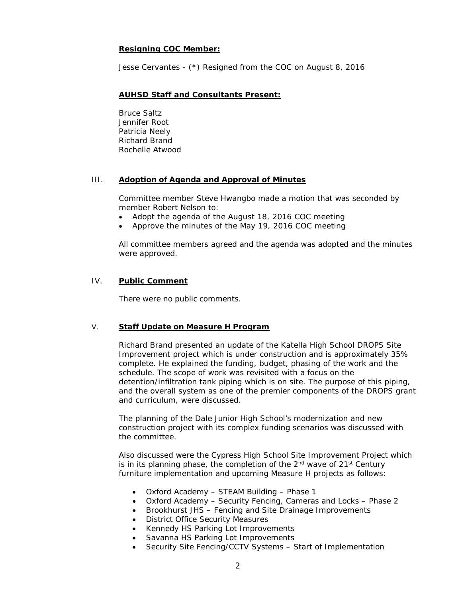## **Resigning COC Member:**

Jesse Cervantes - *(\*) Resigned from the COC on August 8, 2016*

### **AUHSD Staff and Consultants Present:**

Bruce Saltz Jennifer Root Patricia Neely Richard Brand Rochelle Atwood

### III. **Adoption of Agenda and Approval of Minutes**

Committee member Steve Hwangbo made a motion that was seconded by member Robert Nelson to:

- Adopt the agenda of the August 18, 2016 COC meeting
- Approve the minutes of the May 19, 2016 COC meeting

All committee members agreed and the agenda was adopted and the minutes were approved.

### IV. **Public Comment**

There were no public comments.

## V. **Staff Update on Measure H Program**

Richard Brand presented an update of the Katella High School DROPS Site Improvement project which is under construction and is approximately 35% complete. He explained the funding, budget, phasing of the work and the schedule. The scope of work was revisited with a focus on the detention/infiltration tank piping which is on site. The purpose of this piping, and the overall system as one of the premier components of the DROPS grant and curriculum, were discussed.

The planning of the Dale Junior High School's modernization and new construction project with its complex funding scenarios was discussed with the committee.

Also discussed were the Cypress High School Site Improvement Project which is in its planning phase, the completion of the  $2<sup>nd</sup>$  wave of  $21<sup>st</sup>$  Century furniture implementation and upcoming Measure H projects as follows:

- Oxford Academy STEAM Building Phase 1
- Oxford Academy Security Fencing, Cameras and Locks Phase 2
- Brookhurst JHS Fencing and Site Drainage Improvements
- District Office Security Measures
- Kennedy HS Parking Lot Improvements
- Savanna HS Parking Lot Improvements
- Security Site Fencing/CCTV Systems Start of Implementation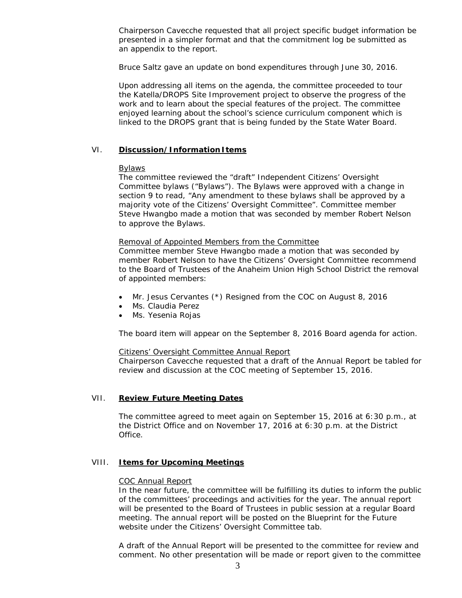Chairperson Cavecche requested that all project specific budget information be presented in a simpler format and that the commitment log be submitted as an appendix to the report.

Bruce Saltz gave an update on bond expenditures through June 30, 2016.

Upon addressing all items on the agenda, the committee proceeded to tour the Katella/DROPS Site Improvement project to observe the progress of the work and to learn about the special features of the project. The committee enjoyed learning about the school's science curriculum component which is linked to the DROPS grant that is being funded by the State Water Board.

## VI. **Discussion/Information Items**

### Bylaws

The committee reviewed the "draft" Independent Citizens' Oversight Committee bylaws ("Bylaws"). The Bylaws were approved with a change in section 9 to read, "Any amendment to these bylaws shall be approved by a majority vote of the Citizens' Oversight Committee". Committee member Steve Hwangbo made a motion that was seconded by member Robert Nelson to approve the Bylaws.

### Removal of Appointed Members from the Committee

Committee member Steve Hwangbo made a motion that was seconded by member Robert Nelson to have the Citizens' Oversight Committee recommend to the Board of Trustees of the Anaheim Union High School District the removal of appointed members:

- Mr. Jesus Cervantes *(\*) Resigned from the COC on August 8, 2016*
- Ms. Claudia Perez
- Ms. Yesenia Rojas

The board item will appear on the September 8, 2016 Board agenda for action.

### Citizens' Oversight Committee Annual Report

Chairperson Cavecche requested that a draft of the Annual Report be tabled for review and discussion at the COC meeting of September 15, 2016.

## VII. **Review Future Meeting Dates**

The committee agreed to meet again on September 15, 2016 at 6:30 p.m., at the District Office and on November 17, 2016 at 6:30 p.m. at the District Office.

### VIII. **Items for Upcoming Meetings**

### COC Annual Report

In the near future, the committee will be fulfilling its duties to inform the public of the committees' proceedings and activities for the year. The annual report will be presented to the Board of Trustees in public session at a regular Board meeting. The annual report will be posted on the Blueprint for the Future website under the Citizens' Oversight Committee tab.

A draft of the Annual Report will be presented to the committee for review and comment. No other presentation will be made or report given to the committee